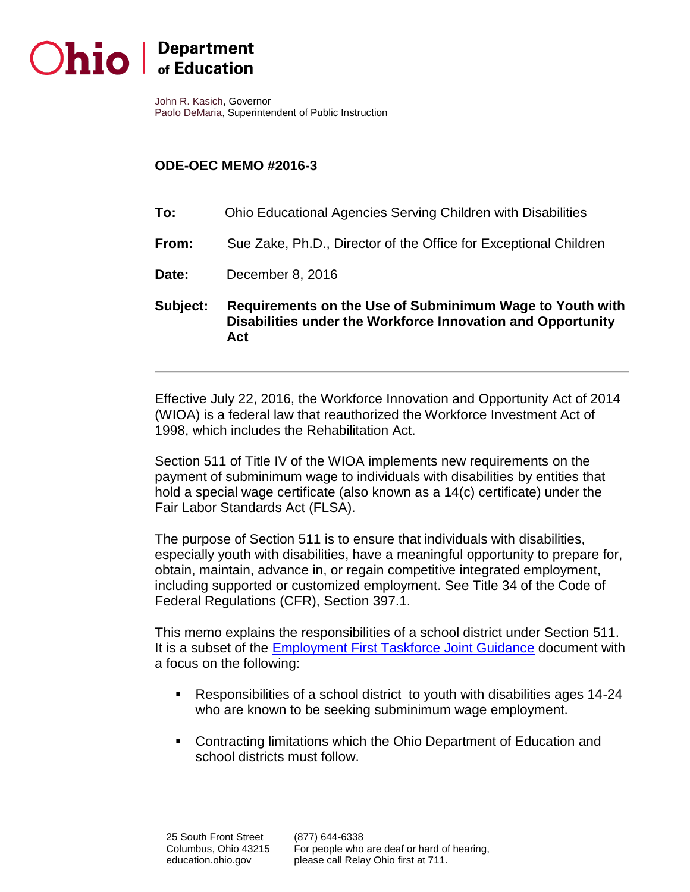

# hio **Department**

John R. Kasich, Governor Paolo DeMaria, Superintendent of Public Instruction

## **ODE-OEC MEMO #2016-3**

- **To:** Ohio Educational Agencies Serving Children with Disabilities
- **From:** Sue Zake, Ph.D., Director of the Office for Exceptional Children
- **Date:** December 8, 2016
- **Subject: Requirements on the Use of Subminimum Wage to Youth with Disabilities under the Workforce Innovation and Opportunity Act**

Effective July 22, 2016, the Workforce Innovation and Opportunity Act of 2014 (WIOA) is a federal law that reauthorized the Workforce Investment Act of 1998, which includes the Rehabilitation Act.

Section 511 of Title IV of the WIOA implements new requirements on the payment of subminimum wage to individuals with disabilities by entities that hold a special wage certificate (also known as a 14(c) certificate) under the Fair Labor Standards Act (FLSA).

The purpose of Section 511 is to ensure that individuals with disabilities, especially youth with disabilities, have a meaningful opportunity to prepare for, obtain, maintain, advance in, or regain competitive integrated employment, including supported or customized employment. See Title 34 of the Code of Federal Regulations (CFR), Section 397.1.

This memo explains the responsibilities of a school district under Section 511. It is a subset of the [Employment First Taskforce Joint Guidance](http://education.ohio.gov/Topics/Special-Education/Federal-and-State-Requirements/Secondary-Transition-Planning-for-Students-with-Di) document with a focus on the following:

- Responsibilities of a school district to youth with disabilities ages 14-24 who are known to be seeking subminimum wage employment.
- **Contracting limitations which the Ohio Department of Education and** school districts must follow.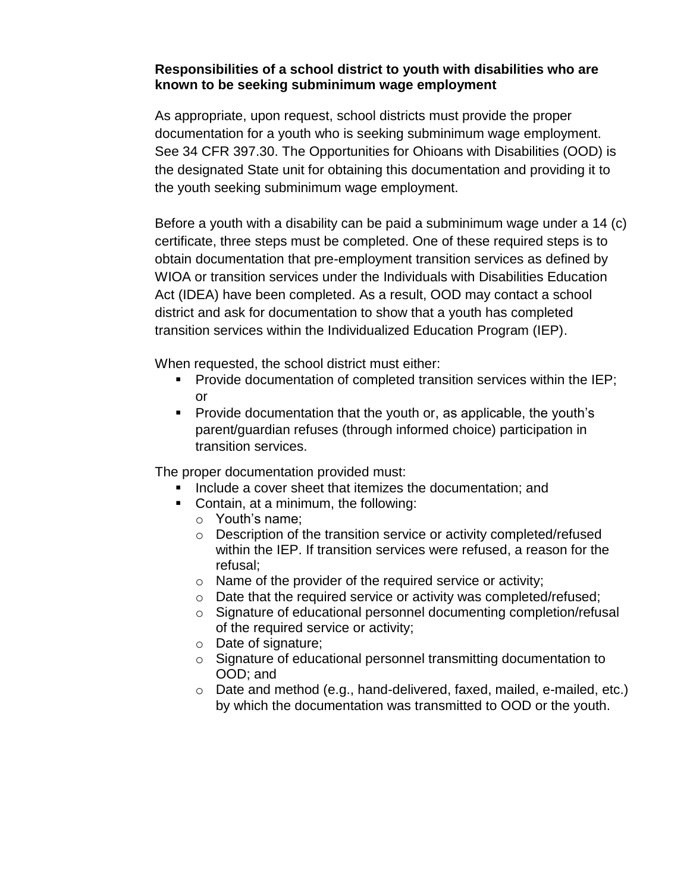#### **Responsibilities of a school district to youth with disabilities who are known to be seeking subminimum wage employment**

As appropriate, upon request, school districts must provide the proper documentation for a youth who is seeking subminimum wage employment. See 34 CFR 397.30. The Opportunities for Ohioans with Disabilities (OOD) is the designated State unit for obtaining this documentation and providing it to the youth seeking subminimum wage employment.

Before a youth with a disability can be paid a subminimum wage under a 14 (c) certificate, three steps must be completed. One of these required steps is to obtain documentation that pre-employment transition services as defined by WIOA or transition services under the Individuals with Disabilities Education Act (IDEA) have been completed. As a result, OOD may contact a school district and ask for documentation to show that a youth has completed transition services within the Individualized Education Program (IEP).

When requested, the school district must either:

- **Provide documentation of completed transition services within the IEP;** or
- **Provide documentation that the youth or, as applicable, the youth's** parent/guardian refuses (through informed choice) participation in transition services.

The proper documentation provided must:

- **If** Include a cover sheet that itemizes the documentation; and
- Contain, at a minimum, the following:
	- o Youth's name;
	- o Description of the transition service or activity completed/refused within the IEP. If transition services were refused, a reason for the refusal;
	- o Name of the provider of the required service or activity;
	- o Date that the required service or activity was completed/refused;
	- o Signature of educational personnel documenting completion/refusal of the required service or activity;
	- o Date of signature;
	- o Signature of educational personnel transmitting documentation to OOD; and
	- o Date and method (e.g., hand-delivered, faxed, mailed, e-mailed, etc.) by which the documentation was transmitted to OOD or the youth.